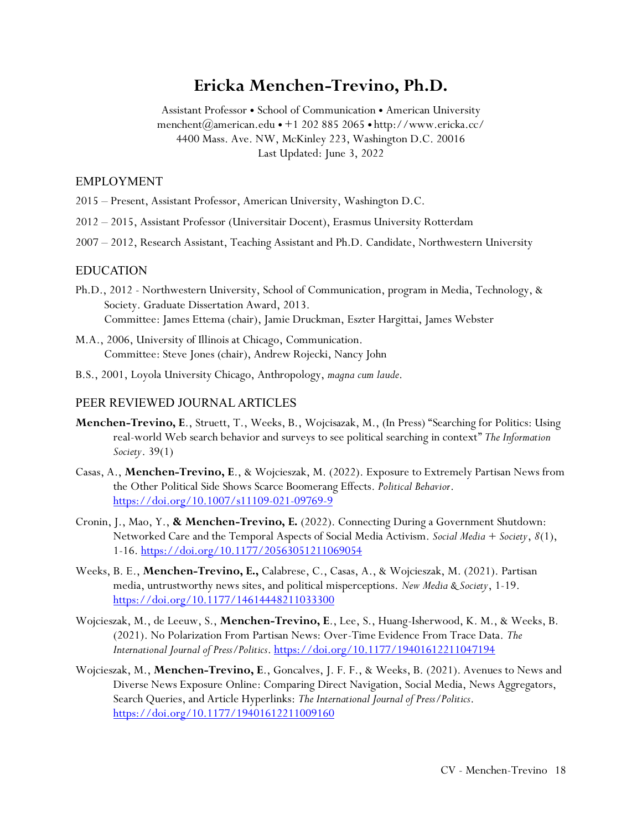# **Ericka Menchen-Trevino, Ph.D.**

Assistant Professor • School of Communication • American University menchent@american.edu  $\bullet$  +1 202 885 2065  $\bullet$  http://www.ericka.cc/ 4400 Mass. Ave. NW, McKinley 223, Washington D.C. 20016 Last Updated: June 3, 2022

#### EMPLOYMENT

- 2015 Present, Assistant Professor, American University, Washington D.C.
- 2012 2015, Assistant Professor (Universitair Docent), Erasmus University Rotterdam
- 2007 2012, Research Assistant, Teaching Assistant and Ph.D. Candidate, Northwestern University

#### EDUCATION

- Ph.D., 2012 Northwestern University, School of Communication, program in Media, Technology, & Society. Graduate Dissertation Award, 2013. Committee: James Ettema (chair), Jamie Druckman, Eszter Hargittai, James Webster
- M.A., 2006, University of Illinois at Chicago, Communication. Committee: Steve Jones (chair), Andrew Rojecki, Nancy John
- B.S., 2001, Loyola University Chicago, Anthropology, *magna cum laude*.

#### PEER REVIEWED JOURNAL ARTICLES

- **Menchen-Trevino, E**., Struett, T., Weeks, B., Wojcisazak, M., (In Press) "Searching for Politics: Using real-world Web search behavior and surveys to see political searching in context" *The Information Society*. 39(1)
- Casas, A., **Menchen-Trevino, E**., & Wojcieszak, M. (2022). Exposure to Extremely Partisan News from the Other Political Side Shows Scarce Boomerang Effects. *Political Behavior*. <https://doi.org/10.1007/s11109-021-09769-9>
- Cronin, J., Mao, Y., **& Menchen-Trevino, E.** (2022). Connecting During a Government Shutdown: Networked Care and the Temporal Aspects of Social Media Activism. *Social Media + Society*, *8*(1), 1-16.<https://doi.org/10.1177/20563051211069054>
- Weeks, B. E., **Menchen-Trevino, E.,** Calabrese, C., Casas, A., & Wojcieszak, M. (2021). Partisan media, untrustworthy news sites, and political misperceptions. *New Media & Society*, 1-19. <https://doi.org/10.1177/14614448211033300>
- Wojcieszak, M., de Leeuw, S., **Menchen-Trevino, E**., Lee, S., Huang-Isherwood, K. M., & Weeks, B. (2021). No Polarization From Partisan News: Over-Time Evidence From Trace Data. *The International Journal of Press/Politics*.<https://doi.org/10.1177/19401612211047194>
- Wojcieszak, M., **Menchen-Trevino, E**., Goncalves, J. F. F., & Weeks, B. (2021). Avenues to News and Diverse News Exposure Online: Comparing Direct Navigation, Social Media, News Aggregators, Search Queries, and Article Hyperlinks: *The International Journal of Press/Politics*. <https://doi.org/10.1177/19401612211009160>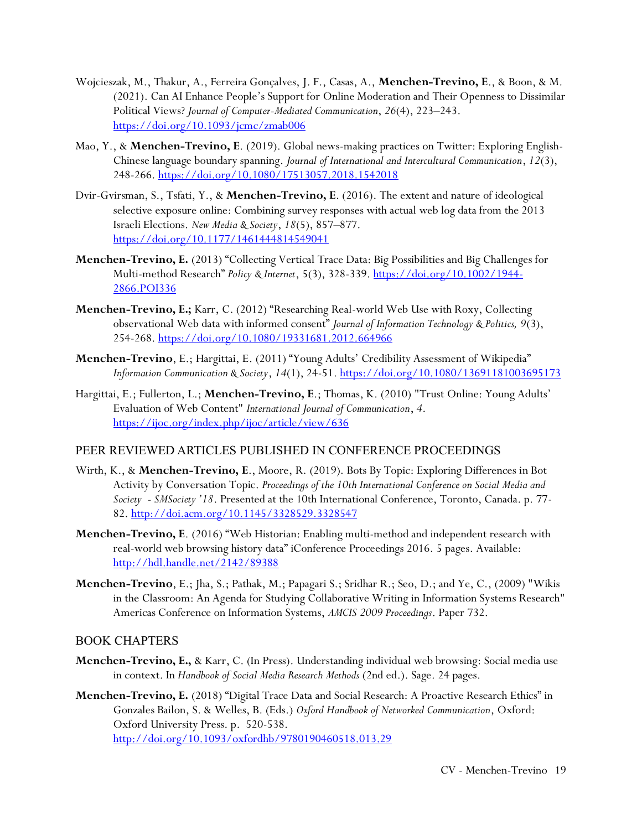- Wojcieszak, M., Thakur, A., Ferreira Gonçalves, J. F., Casas, A., **Menchen-Trevino, E**., & Boon, & M. (2021). Can AI Enhance People's Support for Online Moderation and Their Openness to Dissimilar Political Views? *Journal of Computer-Mediated Communication*, *26*(4), 223–243. <https://doi.org/10.1093/jcmc/zmab006>
- Mao, Y., & **Menchen-Trevino, E**. (2019). Global news-making practices on Twitter: Exploring English-Chinese language boundary spanning. *Journal of International and Intercultural Communication*, *12*(3), 248-266.<https://doi.org/10.1080/17513057.2018.1542018>
- Dvir-Gvirsman, S., Tsfati, Y., & **Menchen-Trevino, E**. (2016). The extent and nature of ideological selective exposure online: Combining survey responses with actual web log data from the 2013 Israeli Elections. *New Media & Society*, *18*(5), 857–877. <https://doi.org/10.1177/1461444814549041>
- **Menchen-Trevino, E.** (2013) "Collecting Vertical Trace Data: Big Possibilities and Big Challenges for Multi-method Research" *Policy & Internet*, 5(3), 328-339[. https://doi.org/10.1002/1944-](https://doi.org/10.1002/1944-2866.POI336) [2866.POI336](https://doi.org/10.1002/1944-2866.POI336)
- **Menchen-Trevino, E.;** Karr, C. (2012) "Researching Real-world Web Use with Roxy, Collecting observational Web data with informed consent" *Journal of Information Technology & Politics, 9*(3), 254-268.<https://doi.org/10.1080/19331681.2012.664966>
- **Menchen-Trevino**, E.; Hargittai, E. (2011) "Young Adults' Credibility Assessment of Wikipedia" *Information Communication & Society*, *14*(1), 24-51.<https://doi.org/10.1080/13691181003695173>
- Hargittai, E.; Fullerton, L.; **Menchen-Trevino, E**.; Thomas, K. (2010) "Trust Online: Young Adults' Evaluation of Web Content" *International Journal of Communication*, *4*. <https://ijoc.org/index.php/ijoc/article/view/636>

### PEER REVIEWED ARTICLES PUBLISHED IN CONFERENCE PROCEEDINGS

- Wirth, K., & **Menchen-Trevino, E**., Moore, R. (2019). Bots By Topic: Exploring Differences in Bot Activity by Conversation Topic. *Proceedings of the 10th International Conference on Social Media and Society - SMSociety '18*. Presented at the 10th International Conference, Toronto, Canada. p. 77- 82.<http://doi.acm.org/10.1145/3328529.3328547>
- **Menchen-Trevino, E**. (2016) "Web Historian: Enabling multi-method and independent research with real-world web browsing history data" iConference Proceedings 2016. 5 pages. Available: <http://hdl.handle.net/2142/89388>
- **Menchen-Trevino**, E.; Jha, S.; Pathak, M.; Papagari S.; Sridhar R.; Seo, D.; and Ye, C., (2009) "Wikis in the Classroom: An Agenda for Studying Collaborative Writing in Information Systems Research" Americas Conference on Information Systems, *AMCIS 2009 Proceedings*. Paper 732.

### BOOK CHAPTERS

- **Menchen-Trevino, E.,** & Karr, C. (In Press). Understanding individual web browsing: Social media use in context. In *Handbook of Social Media Research Methods* (2nd ed.). Sage. 24 pages.
- **Menchen-Trevino, E.** (2018) "Digital Trace Data and Social Research: A Proactive Research Ethics" in Gonzales Bailon, S. & Welles, B. (Eds.) *Oxford Handbook of Networked Communication*, Oxford: Oxford University Press. p. 520-538. <http://doi.org/10.1093/oxfordhb/9780190460518.013.29>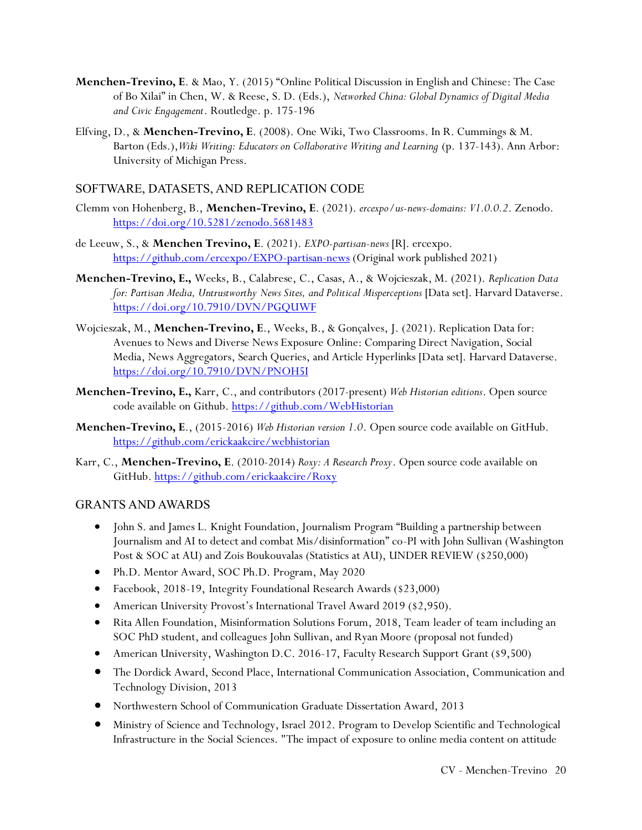- **Menchen-Trevino, E**. & Mao, Y. (2015) "Online Political Discussion in English and Chinese: The Case of Bo Xilai" in Chen, W. & Reese, S. D. (Eds.), *Networked China: Global Dynamics of Digital Media and Civic Engagement*. Routledge. p. 175-196
- Elfving, D., & **Menchen-Trevino, E**. (2008). One Wiki, Two Classrooms. In R. Cummings & M. Barton (Eds.),*Wiki Writing: Educators on Collaborative Writing and Learning* (p. 137-143). Ann Arbor: University of Michigan Press.

### SOFTWARE, DATASETS, AND REPLICATION CODE

- Clemm von Hohenberg, B., **Menchen-Trevino, E**. (2021). *ercexpo/us-news-domains: V1.0.0.2*. Zenodo. <https://doi.org/10.5281/zenodo.5681483>
- de Leeuw, S., & **Menchen Trevino, E**. (2021). *EXPO-partisan-news* [R]. ercexpo. <https://github.com/ercexpo/EXPO-partisan-news> (Original work published 2021)
- **Menchen-Trevino, E.,** Weeks, B., Calabrese, C., Casas, A., & Wojcieszak, M. (2021). *Replication Data for: Partisan Media, Untrustworthy News Sites, and Political Misperceptions* [Data set]. Harvard Dataverse. <https://doi.org/10.7910/DVN/PGQUWF>
- Wojcieszak, M., **Menchen-Trevino, E**., Weeks, B., & Gonçalves, J. (2021). Replication Data for: Avenues to News and Diverse News Exposure Online: Comparing Direct Navigation, Social Media, News Aggregators, Search Queries, and Article Hyperlinks [Data set]. Harvard Dataverse. <https://doi.org/10.7910/DVN/PNOH5I>
- **Menchen-Trevino, E.,** Karr, C., and contributors (2017-present) *Web Historian editions*. Open source code available on Github.<https://github.com/WebHistorian>
- **Menchen-Trevino, E**., (2015-2016) *Web Historian version 1.0*. Open source code available on GitHub. <https://github.com/erickaakcire/webhistorian>
- Karr, C., **Menchen-Trevino, E**. (2010-2014) *Roxy: A Research Proxy*. Open source code available on GitHub.<https://github.com/erickaakcire/Roxy>

### GRANTS AND AWARDS

- John S. and James L. Knight Foundation, Journalism Program "Building a partnership between Journalism and AI to detect and combat Mis/disinformation" co-PI with John Sullivan (Washington Post & SOC at AU) and Zois Boukouvalas (Statistics at AU), UNDER REVIEW (\$250,000)
- Ph.D. Mentor Award, SOC Ph.D. Program, May 2020
- Facebook, 2018-19, Integrity Foundational Research Awards (\$23,000)
- American University Provost's International Travel Award 2019 (\$2,950).
- Rita Allen Foundation, Misinformation Solutions Forum, 2018, Team leader of team including an SOC PhD student, and colleagues John Sullivan, and Ryan Moore (proposal not funded)
- American University, Washington D.C. 2016-17, Faculty Research Support Grant (\$9,500)
- The Dordick Award, Second Place, International Communication Association, Communication and Technology Division, 2013
- Northwestern School of Communication Graduate Dissertation Award, 2013
- Ministry of Science and Technology, Israel 2012. Program to Develop Scientific and Technological Infrastructure in the Social Sciences. "The impact of exposure to online media content on attitude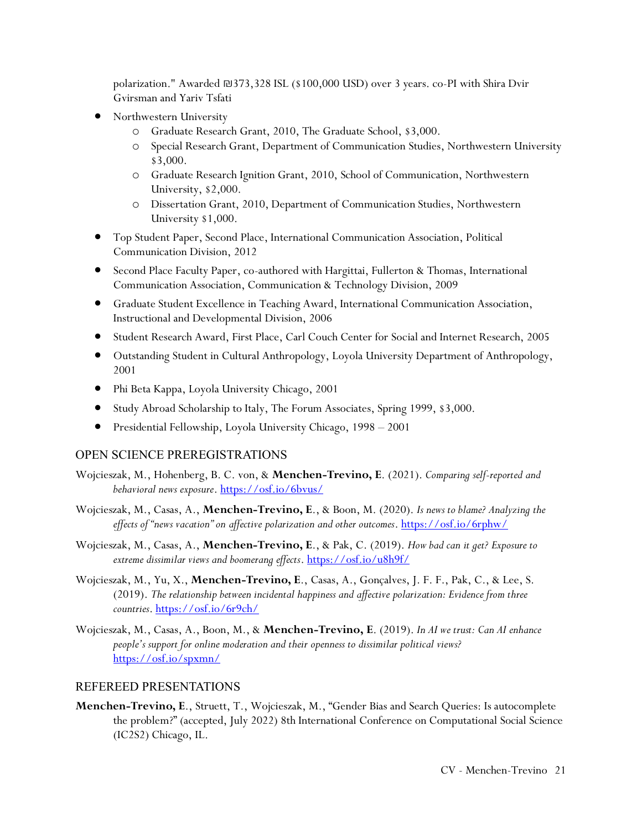polarization." Awarded ₪373,328 ISL (\$100,000 USD) over 3 years. co-PI with Shira Dvir Gvirsman and Yariv Tsfati

- Northwestern University
	- o Graduate Research Grant, 2010, The Graduate School, \$3,000.
	- o Special Research Grant, Department of Communication Studies, Northwestern University \$3,000.
	- o Graduate Research Ignition Grant, 2010, School of Communication, Northwestern University, \$2,000.
	- o Dissertation Grant, 2010, Department of Communication Studies, Northwestern University \$1,000.
- Top Student Paper, Second Place, International Communication Association, Political Communication Division, 2012
- Second Place Faculty Paper, co-authored with Hargittai, Fullerton & Thomas, International Communication Association, Communication & Technology Division, 2009
- Graduate Student Excellence in Teaching Award, International Communication Association, Instructional and Developmental Division, 2006
- Student Research Award, First Place, Carl Couch Center for Social and Internet Research, 2005
- Outstanding Student in Cultural Anthropology, Loyola University Department of Anthropology, 2001
- Phi Beta Kappa, Loyola University Chicago, 2001
- Study Abroad Scholarship to Italy, The Forum Associates, Spring 1999, \$3,000.
- Presidential Fellowship, Loyola University Chicago, 1998 2001

#### OPEN SCIENCE PREREGISTRATIONS

- Wojcieszak, M., Hohenberg, B. C. von, & **Menchen-Trevino, E**. (2021). *Comparing self-reported and behavioral news exposure*.<https://osf.io/6bvus/>
- Wojcieszak, M., Casas, A., **Menchen-Trevino, E**., & Boon, M. (2020). *Is news to blame? Analyzing the effects of "news vacation" on affective polarization and other outcomes*[. https://osf.io/6rphw/](https://osf.io/6rphw/)
- Wojcieszak, M., Casas, A., **Menchen-Trevino, E**., & Pak, C. (2019). *How bad can it get? Exposure to extreme dissimilar views and boomerang effects*. <https://osf.io/u8h9f/>
- Wojcieszak, M., Yu, X., **Menchen-Trevino, E**., Casas, A., Gonçalves, J. F. F., Pak, C., & Lee, S. (2019). *The relationship between incidental happiness and affective polarization: Evidence from three countries*[. https://osf.io/6r9ch/](https://osf.io/6r9ch/)
- Wojcieszak, M., Casas, A., Boon, M., & **Menchen-Trevino, E**. (2019). *In AI we trust: Can AI enhance people's support for online moderation and their openness to dissimilar political views?* <https://osf.io/spxmn/>

#### REFEREED PRESENTATIONS

**Menchen-Trevino, E**., Struett, T., Wojcieszak, M., "Gender Bias and Search Queries: Is autocomplete the problem?" (accepted, July 2022) 8th International Conference on Computational Social Science (IC2S2) Chicago, IL.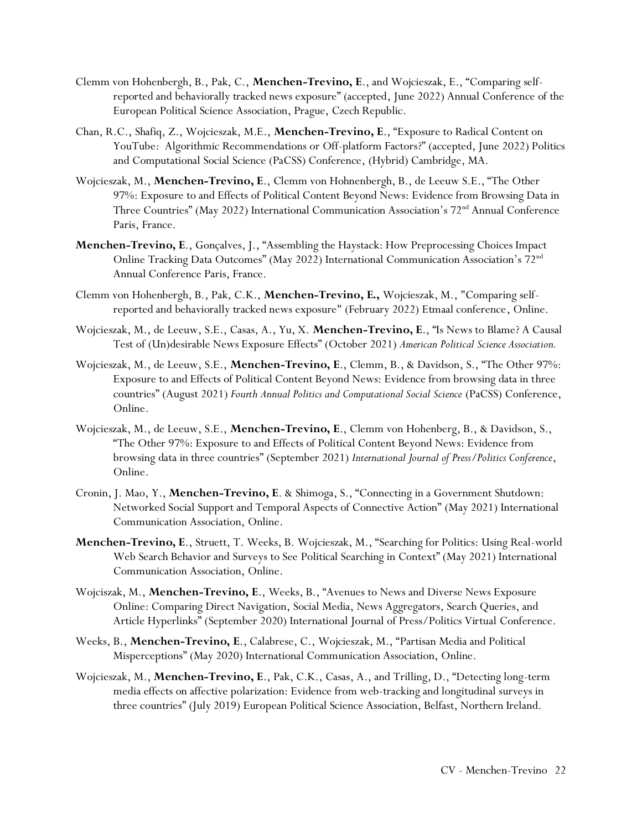- Clemm von Hohenbergh, B., Pak, C., **Menchen-Trevino, E**., and Wojcieszak, E., "Comparing selfreported and behaviorally tracked news exposure" (accepted, June 2022) Annual Conference of the European Political Science Association, Prague, Czech Republic.
- Chan, R.C., Shafiq, Z., Wojcieszak, M.E., **Menchen-Trevino, E**., "Exposure to Radical Content on YouTube: Algorithmic Recommendations or Off-platform Factors?" (accepted, June 2022) Politics and Computational Social Science (PaCSS) Conference, (Hybrid) Cambridge, MA.
- Wojcieszak, M., **Menchen-Trevino, E**., Clemm von Hohnenbergh, B., de Leeuw S.E., "The Other 97%: Exposure to and Effects of Political Content Beyond News: Evidence from Browsing Data in Three Countries" (May 2022) International Communication Association's 72<sup>nd</sup> Annual Conference Paris, France.
- **Menchen-Trevino, E**., Gonçalves, J., "Assembling the Haystack: How Preprocessing Choices Impact Online Tracking Data Outcomes" (May 2022) International Communication Association's 72nd Annual Conference Paris, France.
- Clemm von Hohenbergh, B., Pak, C.K., **Menchen-Trevino, E.,** Wojcieszak, M., "Comparing selfreported and behaviorally tracked news exposure" (February 2022) Etmaal conference, Online.
- Wojcieszak, M., de Leeuw, S.E., Casas, A., Yu, X. **Menchen-Trevino, E**., "Is News to Blame? A Causal Test of (Un)desirable News Exposure Effects" (October 2021) *American Political Science Association.*
- Wojcieszak, M., de Leeuw, S.E., **Menchen-Trevino, E**., Clemm, B., & Davidson, S., "The Other 97%: Exposure to and Effects of Political Content Beyond News: Evidence from browsing data in three countries" (August 2021) *Fourth Annual Politics and Computational Social Science* (PaCSS) Conference, Online.
- Wojcieszak, M., de Leeuw, S.E., **Menchen-Trevino, E**., Clemm von Hohenberg, B., & Davidson, S., "The Other 97%: Exposure to and Effects of Political Content Beyond News: Evidence from browsing data in three countries" (September 2021) *International Journal of Press/Politics Conference*, Online.
- Cronin, J. Mao, Y., **Menchen-Trevino, E**. & Shimoga, S., "Connecting in a Government Shutdown: Networked Social Support and Temporal Aspects of Connective Action" (May 2021) International Communication Association, Online.
- **Menchen-Trevino, E**., Struett, T. Weeks, B. Wojcieszak, M., "Searching for Politics: Using Real-world Web Search Behavior and Surveys to See Political Searching in Context" (May 2021) International Communication Association, Online.
- Wojciszak, M., **Menchen-Trevino, E**., Weeks, B., "Avenues to News and Diverse News Exposure Online: Comparing Direct Navigation, Social Media, News Aggregators, Search Queries, and Article Hyperlinks" (September 2020) International Journal of Press/Politics Virtual Conference.
- Weeks, B., **Menchen-Trevino, E**., Calabrese, C., Wojcieszak, M., "Partisan Media and Political Misperceptions" (May 2020) International Communication Association, Online.
- Wojcieszak, M., **Menchen-Trevino, E**., Pak, C.K., Casas, A., and Trilling, D., "Detecting long-term media effects on affective polarization: Evidence from web-tracking and longitudinal surveys in three countries" (July 2019) European Political Science Association, Belfast, Northern Ireland.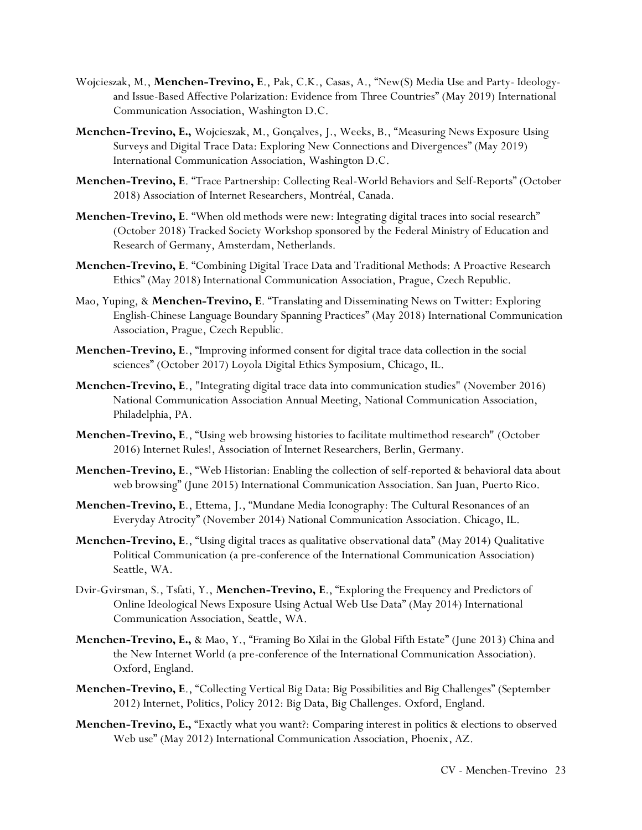- Wojcieszak, M., **Menchen-Trevino, E**., Pak, C.K., Casas, A., "New(S) Media Use and Party- Ideologyand Issue-Based Affective Polarization: Evidence from Three Countries" (May 2019) International Communication Association, Washington D.C.
- **Menchen-Trevino, E.,** Wojcieszak, M., Gonçalves, J., Weeks, B., "Measuring News Exposure Using Surveys and Digital Trace Data: Exploring New Connections and Divergences" (May 2019) International Communication Association, Washington D.C.
- **Menchen-Trevino, E**. "Trace Partnership: Collecting Real-World Behaviors and Self-Reports" (October 2018) Association of Internet Researchers, Montréal, Canada.
- **Menchen-Trevino, E**. "When old methods were new: Integrating digital traces into social research" (October 2018) Tracked Society Workshop sponsored by the Federal Ministry of Education and Research of Germany, Amsterdam, Netherlands.
- **Menchen-Trevino, E**. "Combining Digital Trace Data and Traditional Methods: A Proactive Research Ethics" (May 2018) International Communication Association, Prague, Czech Republic.
- Mao, Yuping, & **Menchen-Trevino, E**. "Translating and Disseminating News on Twitter: Exploring English-Chinese Language Boundary Spanning Practices" (May 2018) International Communication Association, Prague, Czech Republic.
- **Menchen-Trevino, E**., "Improving informed consent for digital trace data collection in the social sciences" (October 2017) Loyola Digital Ethics Symposium, Chicago, IL.
- **Menchen-Trevino, E**., "Integrating digital trace data into communication studies" (November 2016) National Communication Association Annual Meeting, National Communication Association, Philadelphia, PA.
- **Menchen-Trevino, E**., "Using web browsing histories to facilitate multimethod research" (October 2016) Internet Rules!, Association of Internet Researchers, Berlin, Germany.
- **Menchen-Trevino, E**., "Web Historian: Enabling the collection of self-reported & behavioral data about web browsing" (June 2015) International Communication Association. San Juan, Puerto Rico.
- **Menchen-Trevino, E**., Ettema, J., "Mundane Media Iconography: The Cultural Resonances of an Everyday Atrocity" (November 2014) National Communication Association. Chicago, IL.
- **Menchen-Trevino, E**., "Using digital traces as qualitative observational data" (May 2014) Qualitative Political Communication (a pre-conference of the International Communication Association) Seattle, WA.
- Dvir-Gvirsman, S., Tsfati, Y., **Menchen-Trevino, E**., "Exploring the Frequency and Predictors of Online Ideological News Exposure Using Actual Web Use Data" (May 2014) International Communication Association, Seattle, WA.
- **Menchen-Trevino, E.,** & Mao, Y., "Framing Bo Xilai in the Global Fifth Estate" (June 2013) China and the New Internet World (a pre-conference of the International Communication Association). Oxford, England.
- **Menchen-Trevino, E**., "Collecting Vertical Big Data: Big Possibilities and Big Challenges" (September 2012) Internet, Politics, Policy 2012: Big Data, Big Challenges. Oxford, England.
- **Menchen-Trevino, E.,** "Exactly what you want?: Comparing interest in politics & elections to observed Web use" (May 2012) International Communication Association, Phoenix, AZ.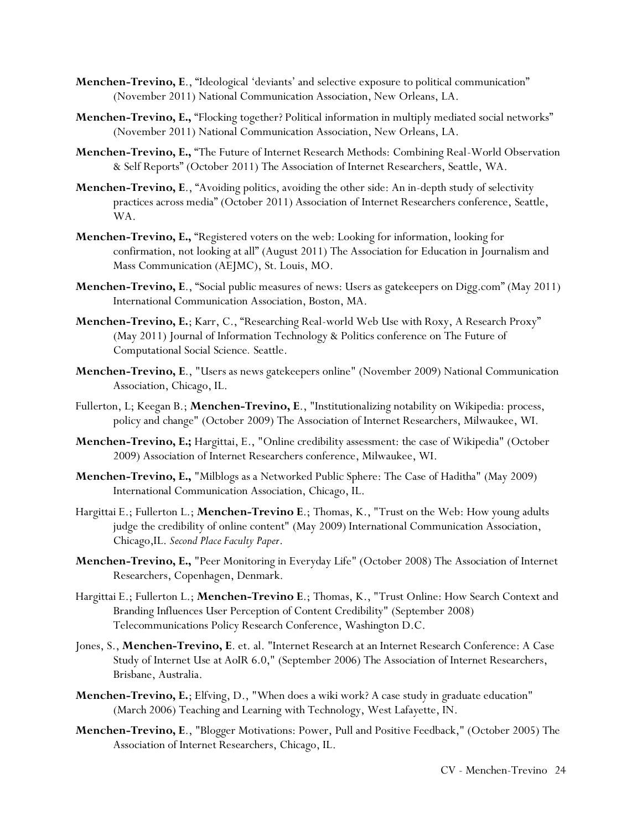- **Menchen-Trevino, E**., "Ideological 'deviants' and selective exposure to political communication" (November 2011) National Communication Association, New Orleans, LA.
- **Menchen-Trevino, E.,** "Flocking together? Political information in multiply mediated social networks" (November 2011) National Communication Association, New Orleans, LA.
- **Menchen-Trevino, E.,** "The Future of Internet Research Methods: Combining Real-World Observation & Self Reports" (October 2011) The Association of Internet Researchers, Seattle, WA.
- **Menchen-Trevino, E**., "Avoiding politics, avoiding the other side: An in-depth study of selectivity practices across media" (October 2011) Association of Internet Researchers conference, Seattle, WA.
- **Menchen-Trevino, E.,** "Registered voters on the web: Looking for information, looking for confirmation, not looking at all" (August 2011) The Association for Education in Journalism and Mass Communication (AEJMC), St. Louis, MO.
- **Menchen-Trevino, E**., "Social public measures of news: Users as gatekeepers on Digg.com" (May 2011) International Communication Association, Boston, MA.
- **Menchen-Trevino, E.**; Karr, C., "Researching Real-world Web Use with Roxy, A Research Proxy" (May 2011) Journal of Information Technology & Politics conference on The Future of Computational Social Science*.* Seattle.
- **Menchen-Trevino, E**., "Users as news gatekeepers online" (November 2009) National Communication Association, Chicago, IL.
- Fullerton, L; Keegan B.; **Menchen-Trevino, E**., "Institutionalizing notability on Wikipedia: process, policy and change" (October 2009) The Association of Internet Researchers, Milwaukee, WI.
- **Menchen-Trevino, E.;** Hargittai, E., "Online credibility assessment: the case of Wikipedia" (October 2009) Association of Internet Researchers conference, Milwaukee, WI.
- **Menchen-Trevino, E.,** "Milblogs as a Networked Public Sphere: The Case of Haditha" (May 2009) International Communication Association, Chicago, IL.
- Hargittai E.; Fullerton L.; **Menchen-Trevino E**.; Thomas, K., "Trust on the Web: How young adults judge the credibility of online content" (May 2009) International Communication Association, Chicago,IL. *Second Place Faculty Paper*.
- **Menchen-Trevino, E.,** "Peer Monitoring in Everyday Life" (October 2008) The Association of Internet Researchers, Copenhagen, Denmark.
- Hargittai E.; Fullerton L.; **Menchen-Trevino E**.; Thomas, K., "Trust Online: How Search Context and Branding Influences User Perception of Content Credibility" (September 2008) Telecommunications Policy Research Conference, Washington D.C.
- Jones, S., **Menchen-Trevino, E**. et. al. "Internet Research at an Internet Research Conference: A Case Study of Internet Use at AoIR 6.0," (September 2006) The Association of Internet Researchers, Brisbane, Australia.
- **Menchen-Trevino, E.**; Elfving, D., "When does a wiki work? A case study in graduate education" (March 2006) Teaching and Learning with Technology, West Lafayette, IN.
- **Menchen-Trevino, E**., "Blogger Motivations: Power, Pull and Positive Feedback," (October 2005) The Association of Internet Researchers, Chicago, IL.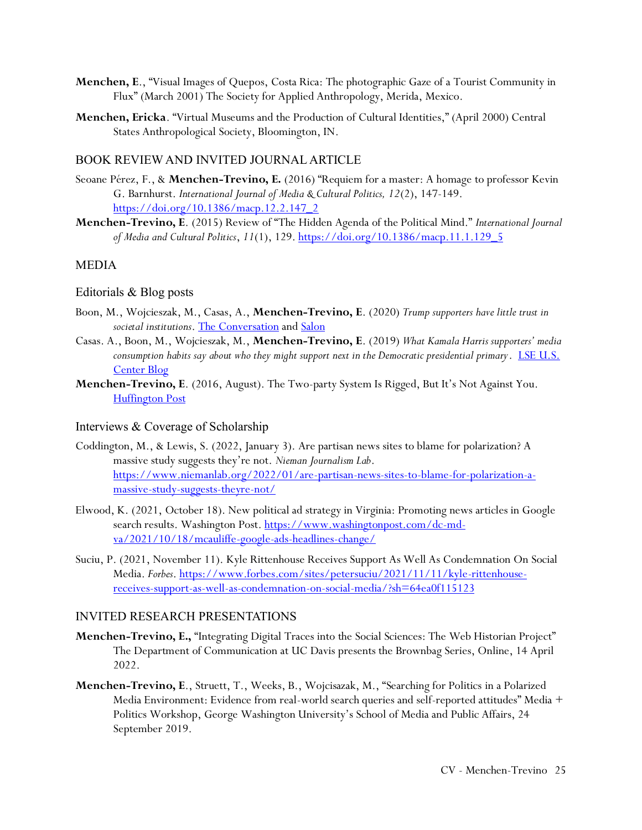- **Menchen, E**., "Visual Images of Quepos, Costa Rica: The photographic Gaze of a Tourist Community in Flux" (March 2001) The Society for Applied Anthropology, Merida, Mexico.
- **Menchen, Ericka**. "Virtual Museums and the Production of Cultural Identities," (April 2000) Central States Anthropological Society, Bloomington, IN.

#### BOOK REVIEW AND INVITED JOURNAL ARTICLE

- Seoane Pérez, F., & **Menchen-Trevino, E.** (2016) "Requiem for a master: A homage to professor Kevin G. Barnhurst. *International Journal of Media & Cultural Politics, 12*(2), 147-149. [https://doi.org/10.1386/macp.12.2.147\\_2](https://doi.org/10.1386/macp.12.2.147_2)
- **Menchen-Trevino, E**. (2015) Review of "The Hidden Agenda of the Political Mind." *International Journal of Media and Cultural Politics*, *11*(1), 129[. https://doi.org/10.1386/macp.11.1.129\\_5](https://doi.org/10.1386/macp.11.1.129_5)

### MEDIA

#### Editorials & Blog posts

- Boon, M., Wojcieszak, M., Casas, A., **Menchen-Trevino, E**. (2020) *Trump supporters have little trust in societal institutions*[. The Conversation](https://theconversation.com/trump-supporters-have-little-trust-in-societal-institutions-131113) and [Salon](https://www.salon.com/2020/02/22/trump-supporters-have-little-trust-in-societal-institutions_partner/)
- Casas. A., Boon, M., Wojcieszak, M., **Menchen-Trevino, E**. (2019) *What Kamala Harris supporters' media consumption habits say about who they might support next in the Democratic presidential primary*. [LSE U.S.](https://blogs.lse.ac.uk/usappblog/2019/12/19/what-kamala-harris-supporters-media-consumption-habits-say-about-who-they-might-support-next-in-the-democratic-presidential-primary/)  [Center Blog](https://blogs.lse.ac.uk/usappblog/2019/12/19/what-kamala-harris-supporters-media-consumption-habits-say-about-who-they-might-support-next-in-the-democratic-presidential-primary/)
- **Menchen-Trevino, E**. (2016, August). The Two-party System Is Rigged, But It's Not Against You. [Huffington Post](http://www.huffingtonpost.com/entry/the-two-party-system-is-rigged-but-its-not-against_us_57bb4bafe4b07d22cc392b4b)

#### Interviews & Coverage of Scholarship

- Coddington, M., & Lewis, S. (2022, January 3). Are partisan news sites to blame for polarization? A massive study suggests they're not. *Nieman Journalism Lab*. [https://www.niemanlab.org/2022/01/are-partisan-news-sites-to-blame-for-polarization-a](https://www.niemanlab.org/2022/01/are-partisan-news-sites-to-blame-for-polarization-a-massive-study-suggests-theyre-not/)[massive-study-suggests-theyre-not/](https://www.niemanlab.org/2022/01/are-partisan-news-sites-to-blame-for-polarization-a-massive-study-suggests-theyre-not/)
- Elwood, K. (2021, October 18). New political ad strategy in Virginia: Promoting news articles in Google search results. Washington Post. [https://www.washingtonpost.com/dc-md](https://www.washingtonpost.com/dc-md-va/2021/10/18/mcauliffe-google-ads-headlines-change/)[va/2021/10/18/mcauliffe-google-ads-headlines-change/](https://www.washingtonpost.com/dc-md-va/2021/10/18/mcauliffe-google-ads-headlines-change/)
- Suciu, P. (2021, November 11). Kyle Rittenhouse Receives Support As Well As Condemnation On Social Media. *Forbes*. [https://www.forbes.com/sites/petersuciu/2021/11/11/kyle-rittenhouse](https://www.forbes.com/sites/petersuciu/2021/11/11/kyle-rittenhouse-receives-support-as-well-as-condemnation-on-social-media/?sh=64ea0f115123)[receives-support-as-well-as-condemnation-on-social-media/?sh=64ea0f115123](https://www.forbes.com/sites/petersuciu/2021/11/11/kyle-rittenhouse-receives-support-as-well-as-condemnation-on-social-media/?sh=64ea0f115123)

#### INVITED RESEARCH PRESENTATIONS

- **Menchen-Trevino, E.,** "Integrating Digital Traces into the Social Sciences: The Web Historian Project" The Department of Communication at UC Davis presents the Brownbag Series, Online, 14 April 2022.
- **Menchen-Trevino, E**., Struett, T., Weeks, B., Wojcisazak, M., "Searching for Politics in a Polarized Media Environment: Evidence from real-world search queries and self-reported attitudes" Media + Politics Workshop, George Washington University's School of Media and Public Affairs, 24 September 2019.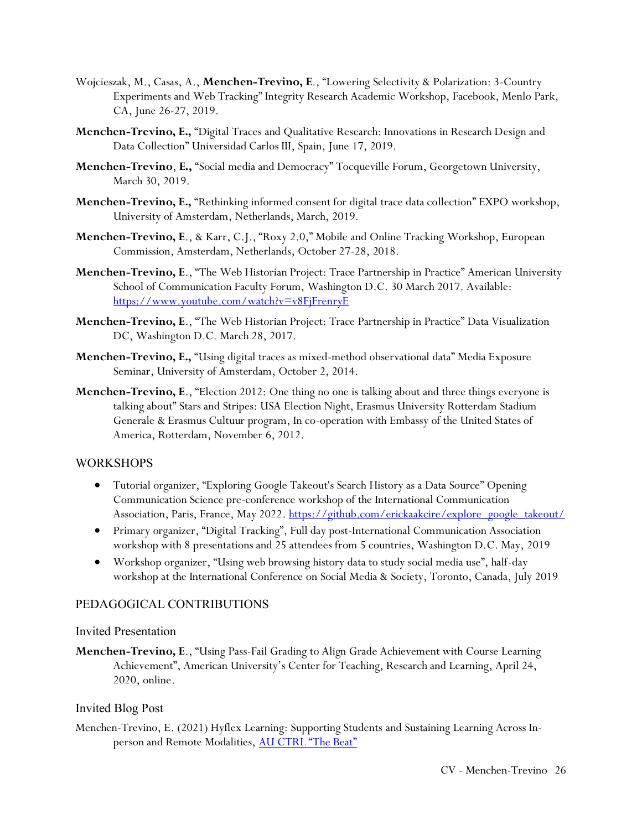- Wojcieszak, M., Casas, A., **Menchen-Trevino, E**., "Lowering Selectivity & Polarization: 3-Country Experiments and Web Tracking" Integrity Research Academic Workshop, Facebook, Menlo Park, CA, June 26-27, 2019.
- **Menchen-Trevino, E.,** "Digital Traces and Qualitative Research: Innovations in Research Design and Data Collection" Universidad Carlos III, Spain, June 17, 2019.
- **Menchen-Trevino**, **E.,** "Social media and Democracy" Tocqueville Forum, Georgetown University, March 30, 2019.
- **Menchen-Trevino, E.,** "Rethinking informed consent for digital trace data collection" EXPO workshop, University of Amsterdam, Netherlands, March, 2019.
- **Menchen-Trevino, E**., & Karr, C.J., "Roxy 2.0," Mobile and Online Tracking Workshop, European Commission, Amsterdam, Netherlands, October 27-28, 2018.
- **Menchen-Trevino, E**., "The Web Historian Project: Trace Partnership in Practice" American University School of Communication Faculty Forum, Washington D.C. 30 March 2017. Available: <https://www.youtube.com/watch?v=v8FjFrenryE>
- **Menchen-Trevino, E**., "The Web Historian Project: Trace Partnership in Practice" Data Visualization DC, Washington D.C. March 28, 2017.
- **Menchen-Trevino, E.,** "Using digital traces as mixed-method observational data" Media Exposure Seminar, University of Amsterdam, October 2, 2014.
- **Menchen-Trevino, E**., "Election 2012: One thing no one is talking about and three things everyone is talking about" Stars and Stripes: USA Election Night, Erasmus University Rotterdam Stadium Generale & Erasmus Cultuur program, In co-operation with Embassy of the United States of America, Rotterdam, November 6, 2012.

### WORKSHOPS

- Tutorial organizer, "Exploring Google Takeout's Search History as a Data Source" Opening Communication Science pre-conference workshop of the International Communication Association, Paris, France, May 2022. [https://github.com/erickaakcire/explore\\_google\\_takeout/](https://github.com/erickaakcire/explore_google_takeout/)
- Primary organizer, "Digital Tracking", Full day post-International Communication Association workshop with 8 presentations and 25 attendees from 5 countries, Washington D.C. May, 2019
- Workshop organizer, "Using web browsing history data to study social media use", half-day workshop at the International Conference on Social Media & Society, Toronto, Canada, July 2019

### PEDAGOGICAL CONTRIBUTIONS

### Invited Presentation

**Menchen-Trevino, E**., "Using Pass-Fail Grading to Align Grade Achievement with Course Learning Achievement", American University's Center for Teaching, Research and Learning, April 24, 2020, online.

### Invited Blog Post

Menchen-Trevino, E. (2021) Hyflex Learning: Supporting Students and Sustaining Learning Across In-person and Remote Modalities, [AU CTRL "The Beat"](https://edspace.american.edu/thectrlbeat/2021/12/17/hyflex-learning-supporting-students-and-sustaining-learning-across-in-person-remote-modalities/)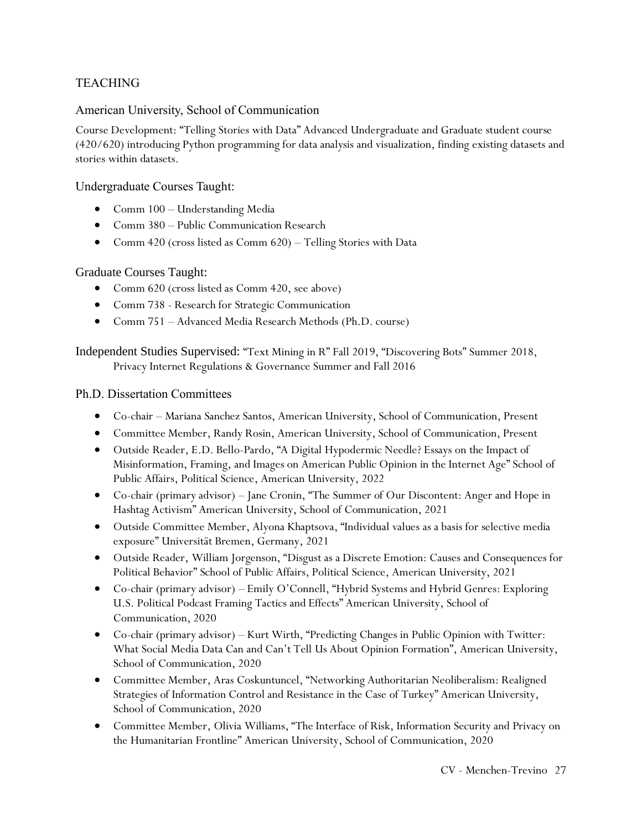# TEACHING

## American University, School of Communication

Course Development: "Telling Stories with Data" Advanced Undergraduate and Graduate student course (420/620) introducing Python programming for data analysis and visualization, finding existing datasets and stories within datasets.

### Undergraduate Courses Taught:

- Comm 100 Understanding Media
- Comm 380 Public Communication Research
- Comm 420 (cross listed as Comm 620) Telling Stories with Data

## Graduate Courses Taught:

- Comm 620 (cross listed as Comm 420, see above)
- Comm 738 Research for Strategic Communication
- Comm 751 Advanced Media Research Methods (Ph.D. course)

Independent Studies Supervised: "Text Mining in R" Fall 2019, "Discovering Bots" Summer 2018, Privacy Internet Regulations & Governance Summer and Fall 2016

### Ph.D. Dissertation Committees

- Co-chair Mariana Sanchez Santos, American University, School of Communication, Present
- Committee Member, Randy Rosin, American University, School of Communication, Present
- Outside Reader, E.D. Bello-Pardo, "A Digital Hypodermic Needle? Essays on the Impact of Misinformation, Framing, and Images on American Public Opinion in the Internet Age" School of Public Affairs, Political Science, American University, 2022
- Co-chair (primary advisor) Jane Cronin, "The Summer of Our Discontent: Anger and Hope in Hashtag Activism" American University, School of Communication, 2021
- Outside Committee Member, Alyona Khaptsova, "Individual values as a basis for selective media exposure" Universität Bremen, Germany, 2021
- Outside Reader, William Jorgenson, "Disgust as a Discrete Emotion: Causes and Consequences for Political Behavior" School of Public Affairs, Political Science, American University, 2021
- Co-chair (primary advisor) Emily O'Connell, "Hybrid Systems and Hybrid Genres: Exploring U.S. Political Podcast Framing Tactics and Effects" American University, School of Communication, 2020
- Co-chair (primary advisor) Kurt Wirth, "Predicting Changes in Public Opinion with Twitter: What Social Media Data Can and Can't Tell Us About Opinion Formation", American University, School of Communication, 2020
- Committee Member, Aras Coskuntuncel, "Networking Authoritarian Neoliberalism: Realigned Strategies of Information Control and Resistance in the Case of Turkey" American University, School of Communication, 2020
- Committee Member, Olivia Williams, "The Interface of Risk, Information Security and Privacy on the Humanitarian Frontline" American University, School of Communication, 2020